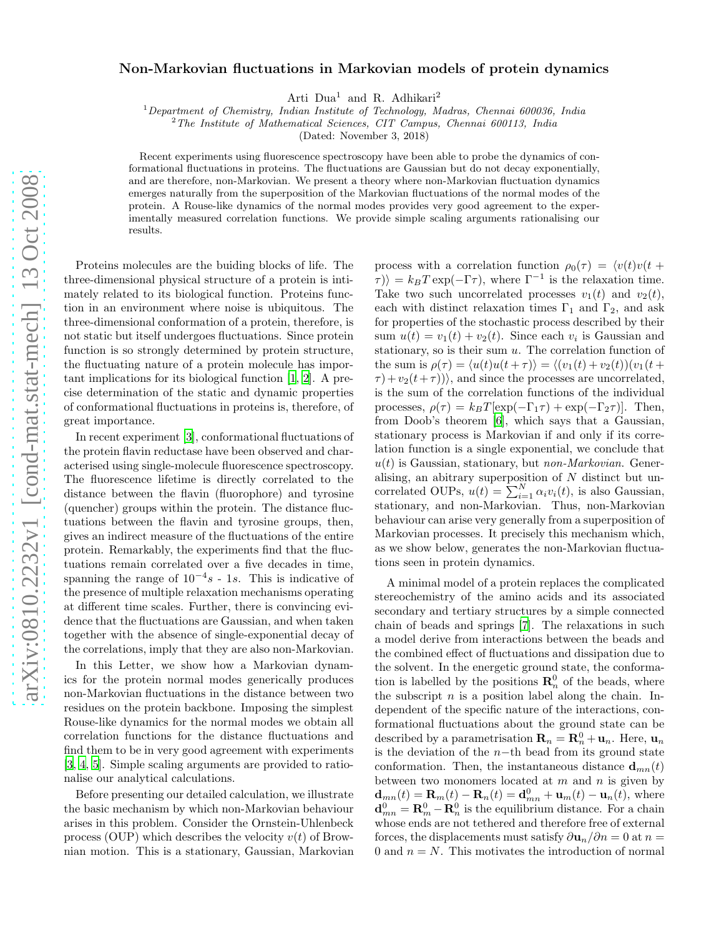## Non-Markovian fluctuations in Markovian models of protein dynamics

Arti Dua<sup>1</sup> and R. Adhikari<sup>2</sup>

 $1$ Department of Chemistry, Indian Institute of Technology, Madras, Chennai 600036, India

 $2$ <sup>2</sup>The Institute of Mathematical Sciences, CIT Campus, Chennai 600113, India

(Dated: November 3, 2018)

Recent experiments using fluorescence spectroscopy have been able to probe the dynamics of conformational fluctuations in proteins. The fluctuations are Gaussian but do not decay exponentially, and are therefore, non-Markovian. We present a theory where non-Markovian fluctuation dynamics emerges naturally from the superposition of the Markovian fluctuations of the normal modes of the protein. A Rouse-like dynamics of the normal modes provides very good agreement to the experimentally measured correlation functions. We provide simple scaling arguments rationalising our results.

Proteins molecules are the buiding blocks of life. The three-dimensional physical structure of a protein is intimately related to its biological function. Proteins function in an environment where noise is ubiquitous. The three-dimensional conformation of a protein, therefore, is not static but itself undergoes fluctuations. Since protein function is so strongly determined by protein structure, the fluctuating nature of a protein molecule has important implications for its biological function [\[1](#page-3-0), [2](#page-3-1)]. A precise determination of the static and dynamic properties of conformational fluctuations in proteins is, therefore, of great importance.

In recent experiment [\[3](#page-3-2)], conformational fluctuations of the protein flavin reductase have been observed and characterised using single-molecule fluorescence spectroscopy. The fluorescence lifetime is directly correlated to the distance between the flavin (fluorophore) and tyrosine (quencher) groups within the protein. The distance fluctuations between the flavin and tyrosine groups, then, gives an indirect measure of the fluctuations of the entire protein. Remarkably, the experiments find that the fluctuations remain correlated over a five decades in time, spanning the range of  $10^{-4}s - 1s$ . This is indicative of the presence of multiple relaxation mechanisms operating at different time scales. Further, there is convincing evidence that the fluctuations are Gaussian, and when taken together with the absence of single-exponential decay of the correlations, imply that they are also non-Markovian.

In this Letter, we show how a Markovian dynamics for the protein normal modes generically produces non-Markovian fluctuations in the distance between two residues on the protein backbone. Imposing the simplest Rouse-like dynamics for the normal modes we obtain all correlation functions for the distance fluctuations and find them to be in very good agreement with experiments [\[3,](#page-3-2) [4,](#page-3-3) [5\]](#page-3-4). Simple scaling arguments are provided to rationalise our analytical calculations.

Before presenting our detailed calculation, we illustrate the basic mechanism by which non-Markovian behaviour arises in this problem. Consider the Ornstein-Uhlenbeck process (OUP) which describes the velocity  $v(t)$  of Brownian motion. This is a stationary, Gaussian, Markovian

process with a correlation function  $\rho_0(\tau) = \langle v(t)v(t +$  $\langle \tau \rangle = k_B T \exp(-\Gamma \tau)$ , where  $\Gamma^{-1}$  is the relaxation time. Take two such uncorrelated processes  $v_1(t)$  and  $v_2(t)$ , each with distinct relaxation times  $\Gamma_1$  and  $\Gamma_2$ , and ask for properties of the stochastic process described by their sum  $u(t) = v_1(t) + v_2(t)$ . Since each  $v_i$  is Gaussian and stationary, so is their sum  $u$ . The correlation function of the sum is  $\rho(\tau) = \langle u(t)u(t + \tau) \rangle = \langle (v_1(t) + v_2(t))(v_1(t +$  $\tau$ ) +  $v_2(t+\tau)$ ), and since the processes are uncorrelated, is the sum of the correlation functions of the individual processes,  $\rho(\tau) = k_BT[\exp(-\Gamma_1\tau) + \exp(-\Gamma_2\tau)].$  Then, from Doob's theorem [\[6\]](#page-3-5), which says that a Gaussian, stationary process is Markovian if and only if its correlation function is a single exponential, we conclude that  $u(t)$  is Gaussian, stationary, but *non-Markovian*. Generalising, an abitrary superposition of N distinct but uncorrelated OUPs,  $u(t) = \sum_{i=1}^{N} \alpha_i v_i(t)$ , is also Gaussian, stationary, and non-Markovian. Thus, non-Markovian behaviour can arise very generally from a superposition of Markovian processes. It precisely this mechanism which, as we show below, generates the non-Markovian fluctuations seen in protein dynamics.

A minimal model of a protein replaces the complicated stereochemistry of the amino acids and its associated secondary and tertiary structures by a simple connected chain of beads and springs [\[7\]](#page-3-6). The relaxations in such a model derive from interactions between the beads and the combined effect of fluctuations and dissipation due to the solvent. In the energetic ground state, the conformation is labelled by the positions  $\mathbf{R}_n^0$  of the beads, where the subscript  $n$  is a position label along the chain. Independent of the specific nature of the interactions, conformational fluctuations about the ground state can be described by a parametrisation  $\mathbf{R}_n = \mathbf{R}_n^0 + \mathbf{u}_n$ . Here,  $\mathbf{u}_n$ is the deviation of the  $n$ −th bead from its ground state conformation. Then, the instantaneous distance  $\mathbf{d}_{mn}(t)$ between two monomers located at  $m$  and  $n$  is given by  $\mathbf{d}_{mn}(t) = \mathbf{R}_m(t) - \mathbf{R}_n(t) = \mathbf{d}_{mn}^0 + \mathbf{u}_m(t) - \mathbf{u}_n(t)$ , where  $\mathbf{d}_{mn}^0 = \mathbf{R}_m^0 - \mathbf{R}_n^0$  is the equilibrium distance. For a chain whose ends are not tethered and therefore free of external forces, the displacements must satisfy  $\partial \mathbf{u}_n / \partial n = 0$  at  $n =$ 0 and  $n = N$ . This motivates the introduction of normal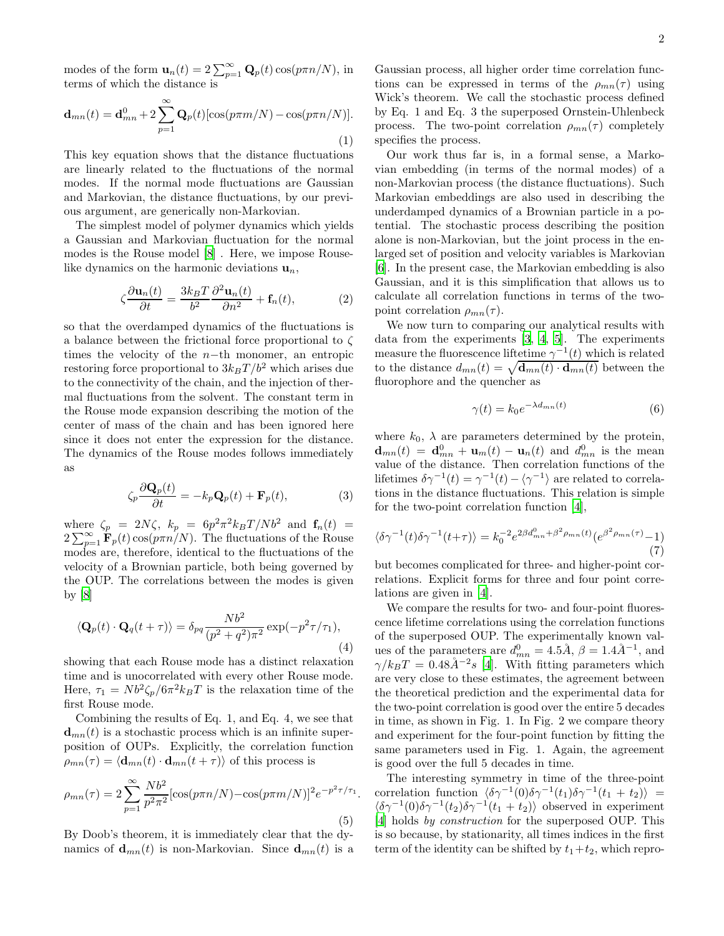modes of the form  $\mathbf{u}_n(t) = 2\sum_{p=1}^{\infty} \mathbf{Q}_p(t) \cos(p\pi n/N)$ , in terms of which the distance is

$$
\mathbf{d}_{mn}(t) = \mathbf{d}_{mn}^0 + 2\sum_{p=1}^{\infty} \mathbf{Q}_p(t) [\cos(p\pi m/N) - \cos(p\pi n/N)].
$$
\n(1)

This key equation shows that the distance fluctuations are linearly related to the fluctuations of the normal modes. If the normal mode fluctuations are Gaussian and Markovian, the distance fluctuations, by our previous argument, are generically non-Markovian.

The simplest model of polymer dynamics which yields a Gaussian and Markovian fluctuation for the normal modes is the Rouse model [\[8\]](#page-3-7) . Here, we impose Rouselike dynamics on the harmonic deviations  $\mathbf{u}_n$ ,

$$
\zeta \frac{\partial \mathbf{u}_n(t)}{\partial t} = \frac{3k_B T}{b^2} \frac{\partial^2 \mathbf{u}_n(t)}{\partial n^2} + \mathbf{f}_n(t),\tag{2}
$$

so that the overdamped dynamics of the fluctuations is a balance between the frictional force proportional to ζ times the velocity of the  $n$ −th monomer, an entropic restoring force proportional to  $3k_BT/b^2$  which arises due to the connectivity of the chain, and the injection of thermal fluctuations from the solvent. The constant term in the Rouse mode expansion describing the motion of the center of mass of the chain and has been ignored here since it does not enter the expression for the distance. The dynamics of the Rouse modes follows immediately as

$$
\zeta_p \frac{\partial \mathbf{Q}_p(t)}{\partial t} = -k_p \mathbf{Q}_p(t) + \mathbf{F}_p(t),\tag{3}
$$

where  $\zeta_p = 2N\zeta$ ,  $k_p = 6p^2\pi^2k_BT/Nb^2$  and  $\mathbf{f}_n(t)$  =  $2\sum_{p=1}^{\infty} \mathbf{F}_p(t) \cos(p\pi n/N)$ . The fluctuations of the Rouse modes are, therefore, identical to the fluctuations of the velocity of a Brownian particle, both being governed by the OUP. The correlations between the modes is given by  $|8|$ 

$$
\langle \mathbf{Q}_p(t) \cdot \mathbf{Q}_q(t+\tau) \rangle = \delta_{pq} \frac{N b^2}{(p^2+q^2)\pi^2} \exp(-p^2 \tau/\tau_1),\tag{4}
$$

showing that each Rouse mode has a distinct relaxation time and is unocorrelated with every other Rouse mode. Here,  $\tau_1 = Nb^2\zeta_p/6\pi^2k_BT$  is the relaxation time of the first Rouse mode.

Combining the results of Eq. 1, and Eq. 4, we see that  **is a stochastic process which is an infinite super**position of OUPs. Explicitly, the correlation function  $\rho_{mn}(\tau) = \langle \mathbf{d}_{mn}(t) \cdot \mathbf{d}_{mn}(t + \tau) \rangle$  of this process is

<span id="page-1-0"></span>
$$
\rho_{mn}(\tau) = 2 \sum_{p=1}^{\infty} \frac{Nb^2}{p^2 \pi^2} [\cos(p\pi n/N) - \cos(p\pi m/N)]^2 e^{-p^2 \tau/\tau_1}.
$$
\n(5)

By Doob's theorem, it is immediately clear that the dynamics of  $\mathbf{d}_{mn}(t)$  is non-Markovian. Since  $\mathbf{d}_{mn}(t)$  is a

Gaussian process, all higher order time correlation functions can be expressed in terms of the  $\rho_{mn}(\tau)$  using Wick's theorem. We call the stochastic process defined by Eq. 1 and Eq. 3 the superposed Ornstein-Uhlenbeck process. The two-point correlation  $\rho_{mn}(\tau)$  completely specifies the process.

Our work thus far is, in a formal sense, a Markovian embedding (in terms of the normal modes) of a non-Markovian process (the distance fluctuations). Such Markovian embeddings are also used in describing the underdamped dynamics of a Brownian particle in a potential. The stochastic process describing the position alone is non-Markovian, but the joint process in the enlarged set of position and velocity variables is Markovian [\[6\]](#page-3-5). In the present case, the Markovian embedding is also Gaussian, and it is this simplification that allows us to calculate all correlation functions in terms of the twopoint correlation  $\rho_{mn}(\tau)$ .

We now turn to comparing our analytical results with data from the experiments [\[3,](#page-3-2) [4,](#page-3-3) [5](#page-3-4)]. The experiments measure the fluorescence liftetime  $\gamma^{-1}(t)$  which is related to the distance  $d_{mn}(t) = \sqrt{\mathbf{d}_{mn}(t) \cdot \mathbf{d}_{mn}(t)}$  between the fluorophore and the quencher as

$$
\gamma(t) = k_0 e^{-\lambda d_{mn}(t)}\tag{6}
$$

where  $k_0$ ,  $\lambda$  are parameters determined by the protein,  $\mathbf{d}_{mn}(t) = \mathbf{d}_{mn}^0 + \mathbf{u}_m(t) - \mathbf{u}_n(t)$  and  $d_{mn}^0$  is the mean value of the distance. Then correlation functions of the lifetimes  $\delta \gamma^{-1}(t) = \gamma^{-1}(t) - \langle \gamma^{-1} \rangle$  are related to correlations in the distance fluctuations. This relation is simple for the two-point correlation function [\[4\]](#page-3-3),

$$
\langle \delta \gamma^{-1}(t) \delta \gamma^{-1}(t+\tau) \rangle = k_0^{-2} e^{2\beta d_{mn}^0 + \beta^2 \rho_{mn}(t)} (e^{\beta^2 \rho_{mn}(\tau)} - 1) \tag{7}
$$

but becomes complicated for three- and higher-point correlations. Explicit forms for three and four point correlations are given in [\[4](#page-3-3)].

We compare the results for two- and four-point fluorescence lifetime correlations using the correlation functions of the superposed OUP. The experimentally known values of the parameters are  $d_{mn}^0 = 4.5\AA$ ,  $\beta = 1.4\AA^{-1}$ , and  $\gamma/k_BT = 0.48\AA^{-2}s$  [\[4](#page-3-3)]. With fitting parameters which are very close to these estimates, the agreement between the theoretical prediction and the experimental data for the two-point correlation is good over the entire 5 decades in time, as shown in Fig. 1. In Fig. 2 we compare theory and experiment for the four-point function by fitting the same parameters used in Fig. 1. Again, the agreement is good over the full 5 decades in time.

The interesting symmetry in time of the three-point correlation function  $\langle \delta \gamma^{-1}(0) \delta \gamma^{-1}(t_1) \delta \gamma^{-1}(t_1 + t_2) \rangle$  =  $\langle \delta \gamma^{-1}(0) \delta \gamma^{-1}(t_2) \delta \gamma^{-1}(t_1 + t_2) \rangle$  observed in experiment [\[4\]](#page-3-3) holds by construction for the superposed OUP. This is so because, by stationarity, all times indices in the first term of the identity can be shifted by  $t_1+t_2$ , which repro-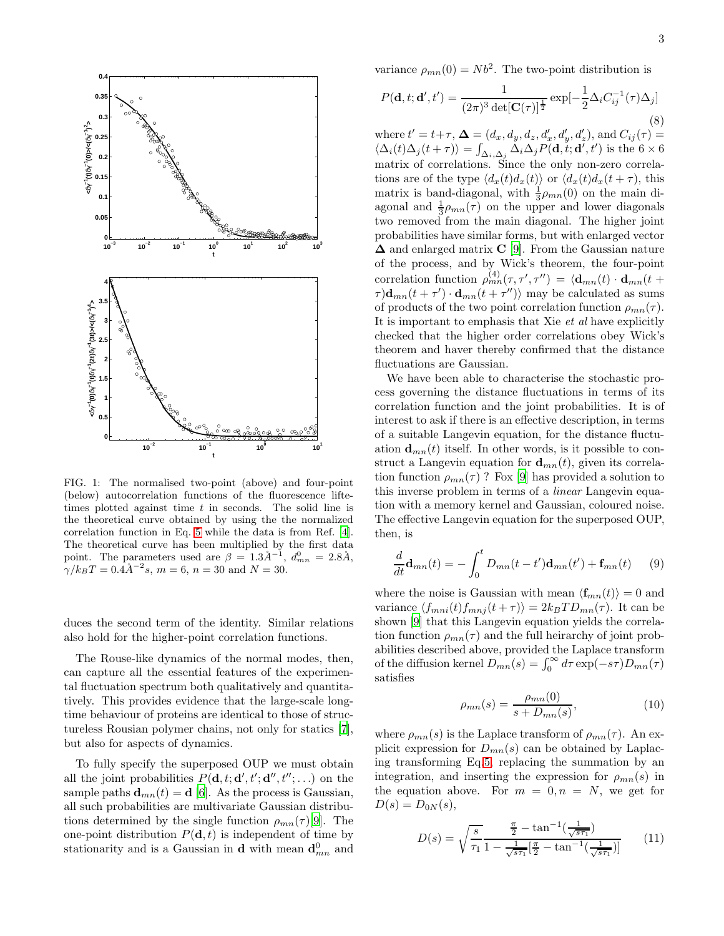

FIG. 1: The normalised two-point (above) and four-point (below) autocorrelation functions of the fluorescence liftetimes plotted against time  $t$  in seconds. The solid line is the theoretical curve obtained by using the the normalized correlation function in Eq. [5](#page-1-0) while the data is from Ref. [\[4](#page-3-3)]. The theoretical curve has been multiplied by the first data point. The parameters used are  $\beta = 1.3\AA^{-1}$ ,  $d_{mn}^0 = 2.8\AA$ ,  $\gamma/k_BT = 0.\overline{4A^{-2}s}, m = 6, n = 30 \text{ and } N = 30.$ 

duces the second term of the identity. Similar relations also hold for the higher-point correlation functions.

The Rouse-like dynamics of the normal modes, then, can capture all the essential features of the experimental fluctuation spectrum both qualitatively and quantitatively. This provides evidence that the large-scale longtime behaviour of proteins are identical to those of structureless Rousian polymer chains, not only for statics [\[7\]](#page-3-6), but also for aspects of dynamics.

To fully specify the superposed OUP we must obtain all the joint probabilities  $P(\mathbf{d}, t; \mathbf{d}', t'; \mathbf{d}'', t''; ...)$  on the sample paths  $\mathbf{d}_{mn}(t) = \mathbf{d}$  [\[6](#page-3-5)]. As the process is Gaussian, all such probabilities are multivariate Gaussian distributions determined by the single function  $\rho_{mn}(\tau)[9]$  $\rho_{mn}(\tau)[9]$  $\rho_{mn}(\tau)[9]$ . The one-point distribution  $P(\mathbf{d}, t)$  is independent of time by stationarity and is a Gaussian in **d** with mean  $\mathbf{d}_{mn}^0$  and variance  $\rho_{mn}(0) = Nb^2$ . The two-point distribution is

$$
P(\mathbf{d}, t; \mathbf{d}', t') = \frac{1}{(2\pi)^3 \det[\mathbf{C}(\tau)]^{\frac{1}{2}}} \exp[-\frac{1}{2}\Delta_i C_{ij}^{-1}(\tau)\Delta_j]
$$
\n(8)

where  $t' = t + \tau$ ,  $\mathbf{\Delta} = (d_x, d_y, d_z, d'_x, d'_y, d'_z)$ , and  $C_{ij}(\tau) =$  $\langle \Delta_i(t)\Delta_j(t+\tau)\rangle = \int_{\Delta_i,\Delta_j} \Delta_i\Delta_j P(\mathbf{d},t;\mathbf{d}',t')$  is the  $6\times 6$ matrix of correlations. Since the only non-zero correlations are of the type  $\langle d_x(t) d_x(t) \rangle$  or  $\langle d_x(t) d_x(t + \tau)$ , this matrix is band-diagonal, with  $\frac{1}{3}\rho_{mn}(0)$  on the main diagonal and  $\frac{1}{3}\rho_{mn}(\tau)$  on the upper and lower diagonals two removed from the main diagonal. The higher joint probabilities have similar forms, but with enlarged vector  $\Delta$  and enlarged matrix C [\[9\]](#page-3-8). From the Gaussian nature of the process, and by Wick's theorem, the four-point correlation function  $\rho_{mn}^{(4)}(\tau, \tau', \tau'') = \langle \mathbf{d}_{mn}(t) \cdot \mathbf{d}_{mn}(t + \tau') \rangle$  $\tau)$ **d**<sub>mn</sub>(t +  $\tau'$ ) · **d**<sub>mn</sub>(t +  $\tau''$ )) may be calculated as sums of products of the two point correlation function  $\rho_{mn}(\tau)$ . It is important to emphasis that Xie et al have explicitly checked that the higher order correlations obey Wick's theorem and haver thereby confirmed that the distance fluctuations are Gaussian.

We have been able to characterise the stochastic process governing the distance fluctuations in terms of its correlation function and the joint probabilities. It is of interest to ask if there is an effective description, in terms of a suitable Langevin equation, for the distance fluctuation  $\mathbf{d}_{mn}(t)$  itself. In other words, is it possible to construct a Langevin equation for  $\mathbf{d}_{mn}(t)$ , given its correlation function  $\rho_{mn}(\tau)$ ? Fox [\[9\]](#page-3-8) has provided a solution to this inverse problem in terms of a linear Langevin equation with a memory kernel and Gaussian, coloured noise. The effective Langevin equation for the superposed OUP, then, is

$$
\frac{d}{dt}\mathbf{d}_{mn}(t) = -\int_0^t D_{mn}(t-t')\mathbf{d}_{mn}(t') + \mathbf{f}_{mn}(t) \qquad (9)
$$

where the noise is Gaussian with mean  $\langle \mathbf{f}_{mn}(t)\rangle = 0$  and variance  $\langle f_{mni}(t) f_{mni}(t + \tau) \rangle = 2k_BT D_{mn}(\tau)$ . It can be shown [\[9\]](#page-3-8) that this Langevin equation yields the correlation function  $\rho_{mn}(\tau)$  and the full heirarchy of joint probabilities described above, provided the Laplace transform of the diffusion kernel  $D_{mn}(s) = \int_0^\infty d\tau \exp(-s\tau) D_{mn}(\tau)$ satisfies

$$
\rho_{mn}(s) = \frac{\rho_{mn}(0)}{s + D_{mn}(s)},\tag{10}
$$

where  $\rho_{mn}(s)$  is the Laplace transform of  $\rho_{mn}(\tau)$ . An explicit expression for  $D_{mn}(s)$  can be obtained by Laplacing transforming Eq[.5,](#page-1-0) replacing the summation by an integration, and inserting the expression for  $\rho_{mn}(s)$  in the equation above. For  $m = 0, n = N$ , we get for  $D(s) = D_{0N}(s),$ 

$$
D(s) = \sqrt{\frac{s}{\tau_1}} \frac{\frac{\pi}{2} - \tan^{-1}\left(\frac{1}{\sqrt{s\tau_1}}\right)}{1 - \frac{1}{\sqrt{s\tau_1}}\left[\frac{\pi}{2} - \tan^{-1}\left(\frac{1}{\sqrt{s\tau_1}}\right)\right]}
$$
(11)